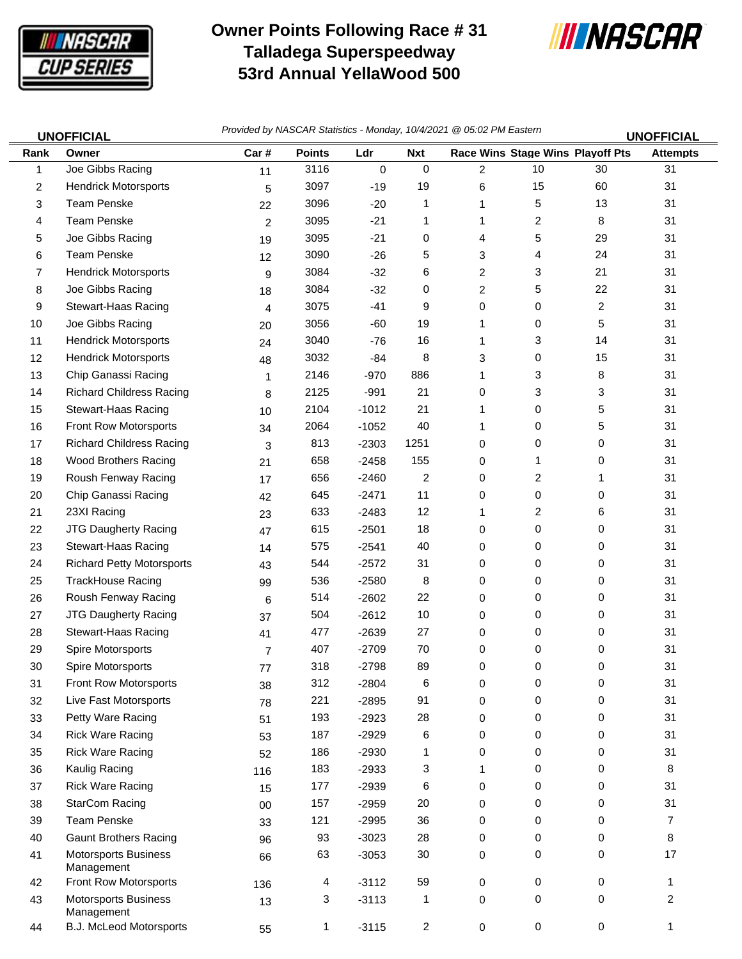

## **Owner Points Following Race # 31 Talladega Superspeedway 53rd Annual YellaWood 500**



| <b>UNOFFICIAL</b> |                                           | Provided by NASCAR Statistics - Monday, 10/4/2021 @ 05:02 PM Eastern<br><b>UNOFFICIAL</b> |               |         |                |                |    |                                  |                 |
|-------------------|-------------------------------------------|-------------------------------------------------------------------------------------------|---------------|---------|----------------|----------------|----|----------------------------------|-----------------|
| Rank              | Owner                                     | Car#                                                                                      | <b>Points</b> | Ldr     | <b>Nxt</b>     |                |    | Race Wins Stage Wins Playoff Pts | <b>Attempts</b> |
| 1                 | Joe Gibbs Racing                          | 11                                                                                        | 3116          | 0       | $\mathbf 0$    | 2              | 10 | 30                               | 31              |
| 2                 | <b>Hendrick Motorsports</b>               | 5                                                                                         | 3097          | $-19$   | 19             | 6              | 15 | 60                               | 31              |
| 3                 | <b>Team Penske</b>                        | 22                                                                                        | 3096          | $-20$   | 1              | 1              | 5  | 13                               | 31              |
| 4                 | <b>Team Penske</b>                        | $\overline{2}$                                                                            | 3095          | $-21$   | 1              | 1              | 2  | 8                                | 31              |
| 5                 | Joe Gibbs Racing                          | 19                                                                                        | 3095          | $-21$   | 0              | 4              | 5  | 29                               | 31              |
| 6                 | <b>Team Penske</b>                        | 12                                                                                        | 3090          | $-26$   | 5              | 3              | 4  | 24                               | 31              |
| 7                 | <b>Hendrick Motorsports</b>               | 9                                                                                         | 3084          | $-32$   | 6              | $\overline{c}$ | 3  | 21                               | 31              |
| 8                 | Joe Gibbs Racing                          | 18                                                                                        | 3084          | $-32$   | 0              | 2              | 5  | 22                               | 31              |
| 9                 | Stewart-Haas Racing                       | 4                                                                                         | 3075          | $-41$   | 9              | 0              | 0  | $\overline{\mathbf{c}}$          | 31              |
| 10                | Joe Gibbs Racing                          | 20                                                                                        | 3056          | $-60$   | 19             | 1              | 0  | 5                                | 31              |
| 11                | <b>Hendrick Motorsports</b>               | 24                                                                                        | 3040          | $-76$   | 16             | 1              | 3  | 14                               | 31              |
| $12 \,$           | <b>Hendrick Motorsports</b>               | 48                                                                                        | 3032          | -84     | 8              | 3              | 0  | 15                               | 31              |
| 13                | Chip Ganassi Racing                       | 1                                                                                         | 2146          | $-970$  | 886            | 1              | 3  | 8                                | 31              |
| 14                | <b>Richard Childress Racing</b>           | 8                                                                                         | 2125          | $-991$  | 21             | 0              | 3  | 3                                | 31              |
| 15                | Stewart-Haas Racing                       | 10                                                                                        | 2104          | $-1012$ | 21             | 1              | 0  | 5                                | 31              |
| 16                | Front Row Motorsports                     | 34                                                                                        | 2064          | $-1052$ | 40             | 1              | 0  | 5                                | 31              |
| 17                | <b>Richard Childress Racing</b>           | 3                                                                                         | 813           | $-2303$ | 1251           | 0              | 0  | 0                                | 31              |
| 18                | <b>Wood Brothers Racing</b>               | 21                                                                                        | 658           | $-2458$ | 155            | 0              | 1  | 0                                | 31              |
| 19                | Roush Fenway Racing                       | 17                                                                                        | 656           | $-2460$ | $\overline{c}$ | 0              | 2  | 1                                | 31              |
| 20                | Chip Ganassi Racing                       | 42                                                                                        | 645           | $-2471$ | 11             | 0              | 0  | 0                                | 31              |
| 21                | 23XI Racing                               | 23                                                                                        | 633           | $-2483$ | 12             | 1              | 2  | 6                                | 31              |
| 22                | <b>JTG Daugherty Racing</b>               | 47                                                                                        | 615           | $-2501$ | 18             | 0              | 0  | 0                                | 31              |
| 23                | Stewart-Haas Racing                       | 14                                                                                        | 575           | $-2541$ | 40             | 0              | 0  | 0                                | 31              |
| 24                | <b>Richard Petty Motorsports</b>          | 43                                                                                        | 544           | $-2572$ | 31             | 0              | 0  | 0                                | 31              |
| 25                | <b>TrackHouse Racing</b>                  | 99                                                                                        | 536           | $-2580$ | 8              | 0              | 0  | 0                                | 31              |
| 26                | Roush Fenway Racing                       | 6                                                                                         | 514           | $-2602$ | 22             | 0              | 0  | 0                                | 31              |
| 27                | <b>JTG Daugherty Racing</b>               | 37                                                                                        | 504           | $-2612$ | 10             | 0              | 0  | 0                                | 31              |
| 28                | Stewart-Haas Racing                       | 41                                                                                        | 477           | $-2639$ | 27             | 0              | 0  | 0                                | 31              |
| 29                | Spire Motorsports                         | $\overline{7}$                                                                            | 407           | $-2709$ | 70             | 0              | 0  | 0                                | 31              |
| $30\,$            | Spire Motorsports                         | 77                                                                                        | 318           | $-2798$ | 89             | 0              | 0  | 0                                | 31              |
| 31                | Front Row Motorsports                     | 38                                                                                        | 312           | $-2804$ | 6              | 0              | 0  | 0                                | 31              |
| 32                | Live Fast Motorsports                     | 78                                                                                        | 221           | $-2895$ | 91             | 0              | 0  | 0                                | 31              |
| 33                | Petty Ware Racing                         | 51                                                                                        | 193           | $-2923$ | 28             | 0              | 0  | 0                                | 31              |
| 34                | <b>Rick Ware Racing</b>                   | 53                                                                                        | 187           | $-2929$ | 6              | 0              | 0  | 0                                | 31              |
| 35                | <b>Rick Ware Racing</b>                   | 52                                                                                        | 186           | $-2930$ | 1              | 0              | 0  | 0                                | 31              |
| 36                | Kaulig Racing                             | 116                                                                                       | 183           | $-2933$ | 3              | 1              | 0  | 0                                | 8               |
| 37                | <b>Rick Ware Racing</b>                   | 15                                                                                        | 177           | $-2939$ | 6              | 0              | 0  | 0                                | 31              |
| 38                | <b>StarCom Racing</b>                     | $00\,$                                                                                    | 157           | $-2959$ | 20             | 0              | 0  | 0                                | 31              |
| 39                | <b>Team Penske</b>                        | 33                                                                                        | 121           | $-2995$ | 36             | 0              | 0  | 0                                | $\overline{7}$  |
| 40                | <b>Gaunt Brothers Racing</b>              | 96                                                                                        | 93            | $-3023$ | 28             | 0              | 0  | 0                                | 8               |
| 41                | <b>Motorsports Business</b><br>Management | 66                                                                                        | 63            | $-3053$ | 30             | 0              | 0  | 0                                | 17              |
| 42                | Front Row Motorsports                     | 136                                                                                       | 4             | $-3112$ | 59             | 0              | 0  | 0                                | 1               |
| 43                | <b>Motorsports Business</b><br>Management | 13                                                                                        | 3             | $-3113$ | 1              | 0              | 0  | 0                                | $\overline{2}$  |
| 44                | <b>B.J. McLeod Motorsports</b>            | 55                                                                                        | 1             | $-3115$ | $\overline{c}$ | 0              | 0  | 0                                | 1               |